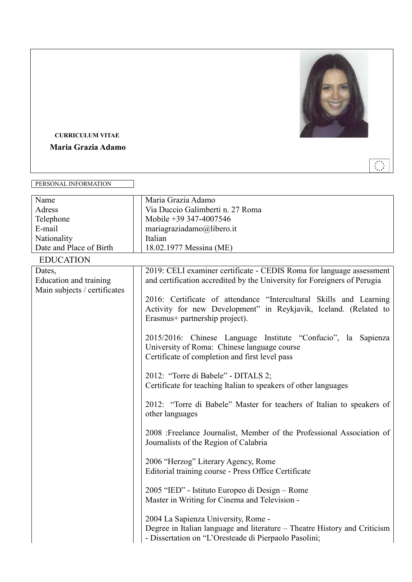

 $\overline{\mathbb{Q}}$ 

## **CURRICULUM VITAE**

 **Maria Grazia Adamo**

| PERSONAL INFORMATION                                             |                                                                                                                                                                           |
|------------------------------------------------------------------|---------------------------------------------------------------------------------------------------------------------------------------------------------------------------|
| Name                                                             | Maria Grazia Adamo                                                                                                                                                        |
| Adress                                                           | Via Duccio Galimberti n. 27 Roma                                                                                                                                          |
| Telephone                                                        | Mobile +39 347-4007546                                                                                                                                                    |
| E-mail                                                           | mariagraziadamo@libero.it                                                                                                                                                 |
| Nationality                                                      | Italian                                                                                                                                                                   |
| Date and Place of Birth                                          | 18.02.1977 Messina (ME)                                                                                                                                                   |
| <b>EDUCATION</b>                                                 |                                                                                                                                                                           |
| Dates,<br>Education and training<br>Main subjects / certificates | 2019: CELI examiner certificate - CEDIS Roma for language assessment<br>and certification accredited by the University for Foreigners of Perugia                          |
|                                                                  | 2016: Certificate of attendance "Intercultural Skills and Learning<br>Activity for new Development" in Reykjavik, Iceland. (Related to<br>Erasmus+ partnership project).  |
|                                                                  | 2015/2016: Chinese Language Institute "Confucio", la Sapienza<br>University of Roma: Chinese language course<br>Certificate of completion and first level pass            |
|                                                                  | 2012: "Torre di Babele" - DITALS 2;<br>Certificate for teaching Italian to speakers of other languages                                                                    |
|                                                                  | 2012: "Torre di Babele" Master for teachers of Italian to speakers of<br>other languages                                                                                  |
|                                                                  | 2008 : Freelance Journalist, Member of the Professional Association of<br>Journalists of the Region of Calabria                                                           |
|                                                                  | 2006 "Herzog" Literary Agency, Rome<br>Editorial training course - Press Office Certificate                                                                               |
|                                                                  | 2005 "IED" - Istituto Europeo di Design - Rome<br>Master in Writing for Cinema and Television -                                                                           |
|                                                                  | 2004 La Sapienza University, Rome -<br>Degree in Italian language and literature – Theatre History and Criticism<br>- Dissertation on "L'Oresteade di Pierpaolo Pasolini; |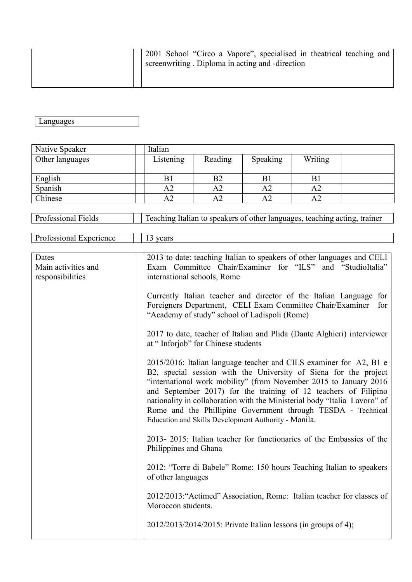2001 School "Circo a Vapore", specialised in theatrical teaching and screenwriting . Diploma in acting and -direction

Languages

| Native Speaker  | Italian        |         |                |         |  |
|-----------------|----------------|---------|----------------|---------|--|
| Other languages | Listening      | Reading | Speaking       | Writing |  |
|                 |                |         |                |         |  |
| English         | БI             | B2      | B <sub>i</sub> | B1      |  |
| Spanish         | A2             | A2      | A2             | A2      |  |
| Chinese         | $A\mathcal{L}$ | A2      | A2             | A2      |  |

Professional Fields Teaching Italian to speakers of other languages, teaching acting, trainer

Professional Experience 1413 years

| Dates               | 2013 to date: teaching Italian to speakers of other languages and CELI                                            |  |  |  |  |
|---------------------|-------------------------------------------------------------------------------------------------------------------|--|--|--|--|
| Main activities and | Exam Committee Chair/Examiner for "ILS" and "StudioItalia"                                                        |  |  |  |  |
| responsibilities    | international schools, Rome                                                                                       |  |  |  |  |
|                     |                                                                                                                   |  |  |  |  |
|                     | Currently Italian teacher and director of the Italian Language for                                                |  |  |  |  |
|                     | Foreigners Department, CELI Exam Committee Chair/Examiner<br>for<br>"Academy of study" school of Ladispoli (Rome) |  |  |  |  |
|                     |                                                                                                                   |  |  |  |  |
|                     | 2017 to date, teacher of Italian and Plida (Dante Alghieri) interviewer<br>at "Inforjob" for Chinese students     |  |  |  |  |
|                     | 2015/2016: Italian language teacher and CILS examiner for A2, B1 e                                                |  |  |  |  |
|                     | B2, special session with the University of Siena for the project                                                  |  |  |  |  |
|                     | "international work mobility" (from November 2015 to January 2016                                                 |  |  |  |  |
|                     | and September 2017) for the training of 12 teachers of Filipino                                                   |  |  |  |  |
|                     | nationality in collaboration with the Ministerial body "Italia Lavoro" of                                         |  |  |  |  |
|                     | Rome and the Phillipine Government through TESDA - Technical                                                      |  |  |  |  |
|                     | Education and Skills Development Authority - Manila.                                                              |  |  |  |  |
|                     | 2013-2015: Italian teacher for functionaries of the Embassies of the                                              |  |  |  |  |
|                     | Philippines and Ghana                                                                                             |  |  |  |  |
|                     |                                                                                                                   |  |  |  |  |
|                     | 2012: "Torre di Babele" Rome: 150 hours Teaching Italian to speakers                                              |  |  |  |  |
|                     | of other languages                                                                                                |  |  |  |  |
|                     | 2012/2013: "Actimed" Association, Rome: Italian teacher for classes of                                            |  |  |  |  |
|                     | Moroccon students.                                                                                                |  |  |  |  |
|                     |                                                                                                                   |  |  |  |  |
|                     | 2012/2013/2014/2015: Private Italian lessons (in groups of 4);                                                    |  |  |  |  |
|                     |                                                                                                                   |  |  |  |  |